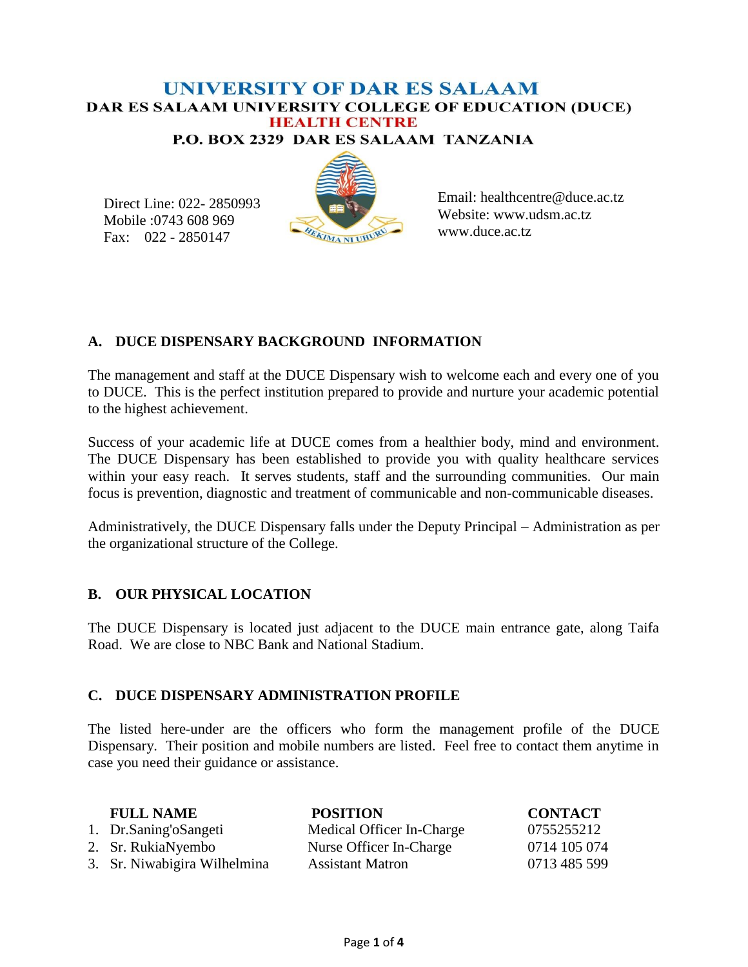# **UNIVERSITY OF DAR ES SALAAM** DAR ES SALAAM UNIVERSITY COLLEGE OF EDUCATION (DUCE) **HEALTH CENTRE**

P.O. BOX 2329 DAR ES SALAAM TANZANIA

Direct Line: 022- 2850993 Mobile :0743 608 969 Fax: 022 - 2850147



Email: healthcentre@duce.ac.tz Website: www.udsm.ac.tz www.duce.ac.tz

## **A. DUCE DISPENSARY BACKGROUND INFORMATION**

The management and staff at the DUCE Dispensary wish to welcome each and every one of you to DUCE. This is the perfect institution prepared to provide and nurture your academic potential to the highest achievement.

Success of your academic life at DUCE comes from a healthier body, mind and environment. The DUCE Dispensary has been established to provide you with quality healthcare services within your easy reach. It serves students, staff and the surrounding communities. Our main focus is prevention, diagnostic and treatment of communicable and non-communicable diseases.

Administratively, the DUCE Dispensary falls under the Deputy Principal – Administration as per the organizational structure of the College.

# **B. OUR PHYSICAL LOCATION**

The DUCE Dispensary is located just adjacent to the DUCE main entrance gate, along Taifa Road. We are close to NBC Bank and National Stadium.

## **C. DUCE DISPENSARY ADMINISTRATION PROFILE**

The listed here-under are the officers who form the management profile of the DUCE Dispensary. Their position and mobile numbers are listed. Feel free to contact them anytime in case you need their guidance or assistance.

| <b>FULL NAME</b>             | <b>POSITION</b>           | <b>CONTACT</b> |
|------------------------------|---------------------------|----------------|
| 1. Dr.Saning'oSangeti        | Medical Officer In-Charge | 0755255212     |
| 2. Sr. RukiaNyembo           | Nurse Officer In-Charge   | 0714 105 074   |
| 3. Sr. Niwabigira Wilhelmina | <b>Assistant Matron</b>   | 0713 485 599   |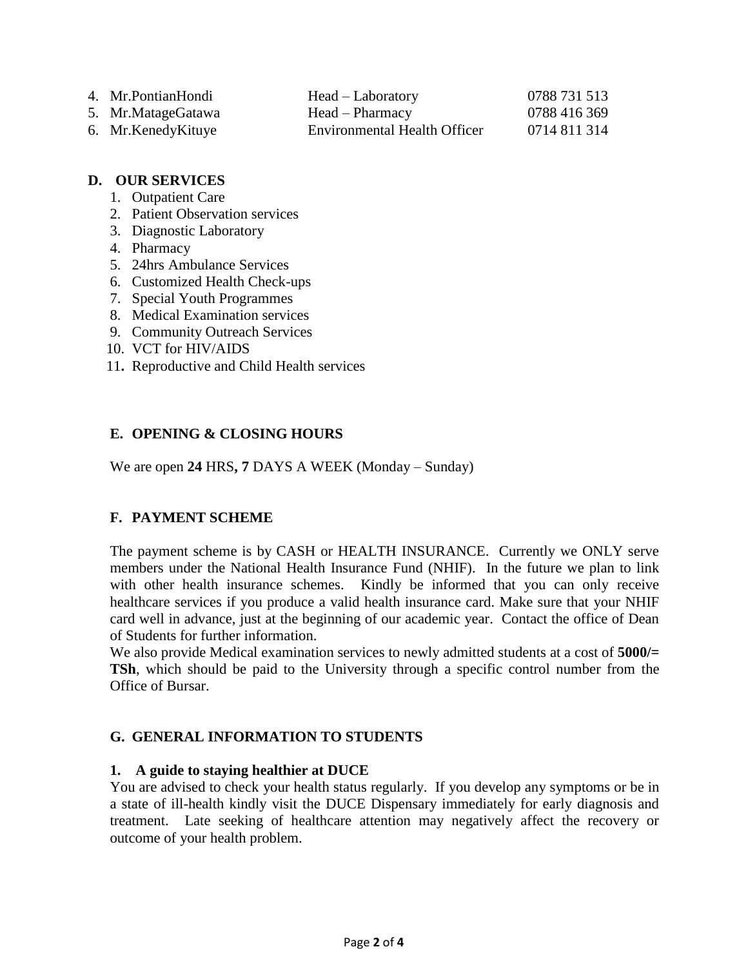- 4. Mr.PontianHondi Head Laboratory 0788 731 513
- 5. Mr.MatageGatawa Head Pharmacy 0788 416 369
- 6. Mr.KenedyKituye Environmental Health Officer 0714 811 314

### **D. OUR SERVICES**

- 1. Outpatient Care
- 2. Patient Observation services
- 3. Diagnostic Laboratory
- 4. Pharmacy
- 5. 24hrs Ambulance Services
- 6. Customized Health Check-ups
- 7. Special Youth Programmes
- 8. Medical Examination services
- 9. Community Outreach Services
- 10. VCT for HIV/AIDS
- 11**.** Reproductive and Child Health services

# **E. OPENING & CLOSING HOURS**

We are open **24** HRS**, 7** DAYS A WEEK (Monday – Sunday)

# **F. PAYMENT SCHEME**

The payment scheme is by CASH or HEALTH INSURANCE. Currently we ONLY serve members under the National Health Insurance Fund (NHIF). In the future we plan to link with other health insurance schemes. Kindly be informed that you can only receive healthcare services if you produce a valid health insurance card. Make sure that your NHIF card well in advance, just at the beginning of our academic year. Contact the office of Dean of Students for further information.

We also provide Medical examination services to newly admitted students at a cost of **5000/= TSh**, which should be paid to the University through a specific control number from the Office of Bursar.

## **G. GENERAL INFORMATION TO STUDENTS**

## **1. A guide to staying healthier at DUCE**

You are advised to check your health status regularly. If you develop any symptoms or be in a state of ill-health kindly visit the DUCE Dispensary immediately for early diagnosis and treatment. Late seeking of healthcare attention may negatively affect the recovery or outcome of your health problem.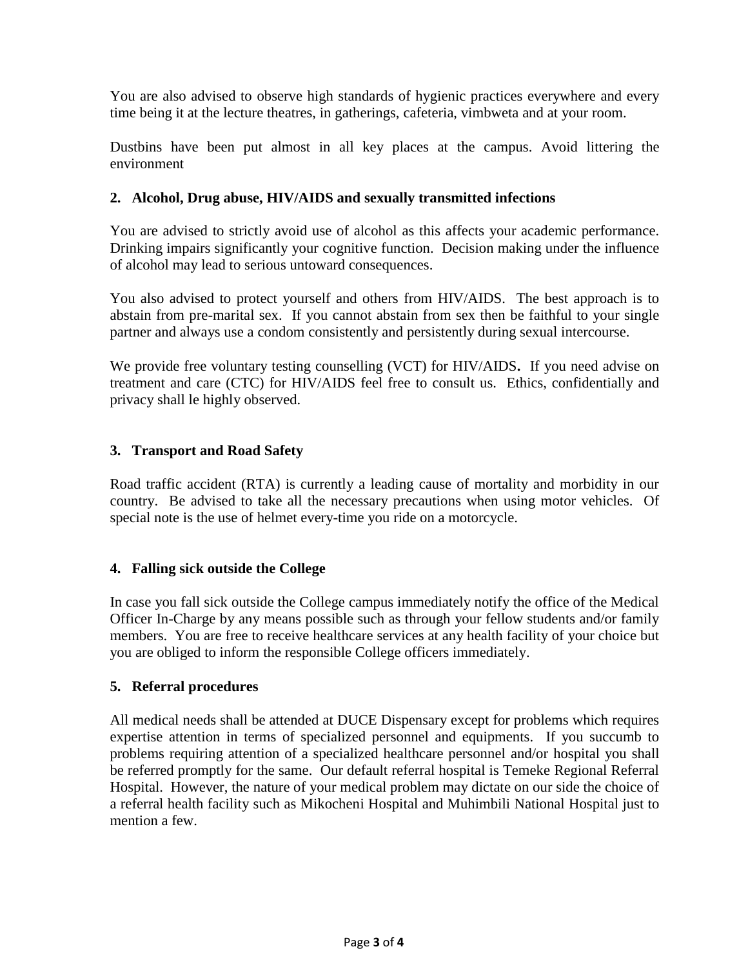You are also advised to observe high standards of hygienic practices everywhere and every time being it at the lecture theatres, in gatherings, cafeteria, vimbweta and at your room.

Dustbins have been put almost in all key places at the campus. Avoid littering the environment

#### **2. Alcohol, Drug abuse, HIV/AIDS and sexually transmitted infections**

You are advised to strictly avoid use of alcohol as this affects your academic performance. Drinking impairs significantly your cognitive function. Decision making under the influence of alcohol may lead to serious untoward consequences.

You also advised to protect yourself and others from HIV/AIDS. The best approach is to abstain from pre-marital sex. If you cannot abstain from sex then be faithful to your single partner and always use a condom consistently and persistently during sexual intercourse.

We provide free voluntary testing counselling (VCT) for HIV/AIDS**.** If you need advise on treatment and care (CTC) for HIV/AIDS feel free to consult us. Ethics, confidentially and privacy shall le highly observed.

#### **3. Transport and Road Safety**

Road traffic accident (RTA) is currently a leading cause of mortality and morbidity in our country. Be advised to take all the necessary precautions when using motor vehicles. Of special note is the use of helmet every-time you ride on a motorcycle.

#### **4. Falling sick outside the College**

In case you fall sick outside the College campus immediately notify the office of the Medical Officer In-Charge by any means possible such as through your fellow students and/or family members. You are free to receive healthcare services at any health facility of your choice but you are obliged to inform the responsible College officers immediately.

#### **5. Referral procedures**

All medical needs shall be attended at DUCE Dispensary except for problems which requires expertise attention in terms of specialized personnel and equipments. If you succumb to problems requiring attention of a specialized healthcare personnel and/or hospital you shall be referred promptly for the same. Our default referral hospital is Temeke Regional Referral Hospital. However, the nature of your medical problem may dictate on our side the choice of a referral health facility such as Mikocheni Hospital and Muhimbili National Hospital just to mention a few.